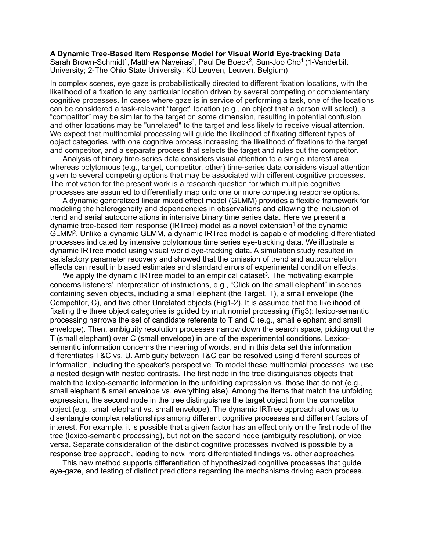## **A Dynamic Tree-Based Item Response Model for Visual World Eye-tracking Data**  Sarah Brown-Schmidt<sup>1</sup>, Matthew Naveiras<sup>1</sup>, Paul De Boeck<sup>2</sup>, Sun-Joo Cho<sup>1</sup> (1-Vanderbilt University; 2-The Ohio State University; KU Leuven, Leuven, Belgium)

In complex scenes, eye gaze is probabilistically directed to different fixation locations, with the likelihood of a fixation to any particular location driven by several competing or complementary cognitive processes. In cases where gaze is in service of performing a task, one of the locations can be considered a task-relevant "target" location (e.g., an object that a person will select), a "competitor" may be similar to the target on some dimension, resulting in potential confusion, and other locations may be "unrelated" to the target and less likely to receive visual attention. We expect that multinomial processing will guide the likelihood of fixating different types of object categories, with one cognitive process increasing the likelihood of fixations to the target and competitor, and a separate process that selects the target and rules out the competitor.

 Analysis of binary time-series data considers visual attention to a single interest area, whereas polytomous (e.g., target, competitor, other) time-series data considers visual attention given to several competing options that may be associated with different cognitive processes. The motivation for the present work is a research question for which multiple cognitive processes are assumed to differentially map onto one or more competing response options.

 A dynamic generalized linear mixed effect model (GLMM) provides a flexible framework for modeling the heterogeneity and dependencies in observations and allowing the inclusion of trend and serial autocorrelations in intensive binary time series data. Here we present a dynamic tree-based item response (IRTree) model as a novel extension<sup>1</sup> of the dynamic GLMM2. Unlike a dynamic GLMM, a dynamic IRTree model is capable of modeling differentiated processes indicated by intensive polytomous time series eye-tracking data. We illustrate a dynamic IRTree model using visual world eye-tracking data. A simulation study resulted in satisfactory parameter recovery and showed that the omission of trend and autocorrelation effects can result in biased estimates and standard errors of experimental condition effects.

We apply the dynamic IRTree model to an empirical dataset<sup>3</sup>. The motivating example concerns listeners' interpretation of instructions, e.g., "Click on the small elephant" in scenes containing seven objects, including a small elephant (the Target, T), a small envelope (the Competitor, C), and five other Unrelated objects (Fig1-2). It is assumed that the likelihood of fixating the three object categories is guided by multinomial processing (Fig3): lexico-semantic processing narrows the set of candidate referents to T and C (e.g., small elephant and small envelope). Then, ambiguity resolution processes narrow down the search space, picking out the T (small elephant) over C (small envelope) in one of the experimental conditions. Lexicosemantic information concerns the meaning of words, and in this data set this information differentiates T&C vs. U. Ambiguity between T&C can be resolved using different sources of information, including the speaker's perspective. To model these multinomial processes, we use a nested design with nested contrasts. The first node in the tree distinguishes objects that match the lexico-semantic information in the unfolding expression vs. those that do not (e.g., small elephant & small envelope vs. everything else). Among the items that match the unfolding expression, the second node in the tree distinguishes the target object from the competitor object (e.g., small elephant vs. small envelope). The dynamic IRTree approach allows us to disentangle complex relationships among different cognitive processes and different factors of interest. For example, it is possible that a given factor has an effect only on the first node of the tree (lexico-semantic processing), but not on the second node (ambiguity resolution), or vice versa. Separate consideration of the distinct cognitive processes involved is possible by a response tree approach, leading to new, more differentiated findings vs. other approaches.

 This new method supports differentiation of hypothesized cognitive processes that guide eye-gaze, and testing of distinct predictions regarding the mechanisms driving each process.